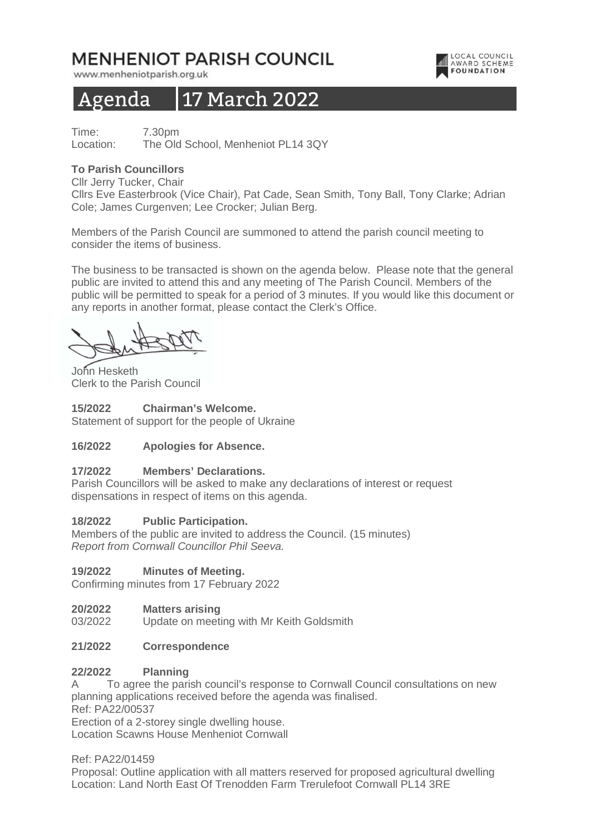# MENHENIOT PARISH COUNCIL

www.menheniotparish.org.uk

# Agenda 17 March 2022

Time: 7.30pm Location: The Old School, Menheniot PL14 3QY

## **To Parish Councillors**

Cllr Jerry Tucker, Chair

Cllrs Eve Easterbrook (Vice Chair), Pat Cade, Sean Smith, Tony Ball, Tony Clarke; Adrian Cole; James Curgenven; Lee Crocker; Julian Berg.

LOCAL COUNCIL

**AWARD SCHEME** 

Members of the Parish Council are summoned to attend the parish council meeting to consider the items of business.

The business to be transacted is shown on the agenda below. Please note that the general public are invited to attend this and any meeting of The Parish Council. Members of the public will be permitted to speak for a period of 3 minutes. If you would like this document or any reports in another format, please contact the Clerk's Office.

John Hesketh Clerk to the Parish Council

**15/2022 Chairman's Welcome.**  Statement of support for the people of Ukraine

# **16/2022 Apologies for Absence.**

## **17/2022 Members' Declarations.**

Parish Councillors will be asked to make any declarations of interest or request dispensations in respect of items on this agenda.

## **18/2022 Public Participation.**

Members of the public are invited to address the Council. (15 minutes) Report from Cornwall Councillor Phil Seeva.

## **19/2022 Minutes of Meeting.**

Confirming minutes from 17 February 2022

## **20/2022 Matters arising**

03/2022 Update on meeting with Mr Keith Goldsmith

## **21/2022 Correspondence**

## **22/2022 Planning**

A To agree the parish council's response to Cornwall Council consultations on new planning applications received before the agenda was finalised.

Ref: PA22/00537

Erection of a 2-storey single dwelling house.

Location Scawns House Menheniot Cornwall

Ref: PA22/01459

Proposal: Outline application with all matters reserved for proposed agricultural dwelling Location: Land North East Of Trenodden Farm Trerulefoot Cornwall PL14 3RE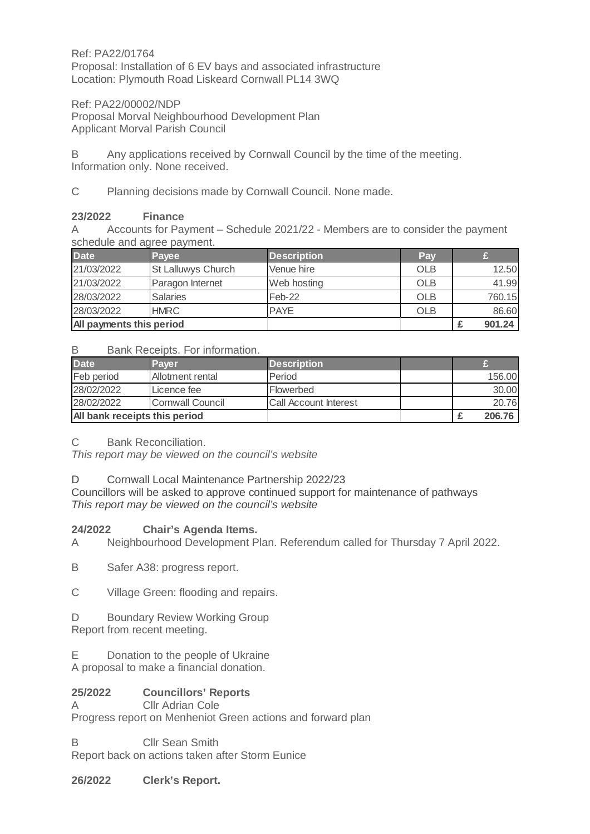Ref: PA22/01764 Proposal: Installation of 6 EV bays and associated infrastructure Location: Plymouth Road Liskeard Cornwall PL14 3WQ

Ref: PA22/00002/NDP Proposal Morval Neighbourhood Development Plan Applicant Morval Parish Council

B Any applications received by Cornwall Council by the time of the meeting. Information only. None received.

C Planning decisions made by Cornwall Council. None made.

# **23/2022 Finance**

A Accounts for Payment – Schedule 2021/22 - Members are to consider the payment schedule and agree payment.

| <b>Date</b>              | <b>Pavee</b>              | <b>Description</b> | Pav        |        |
|--------------------------|---------------------------|--------------------|------------|--------|
| 21/03/2022               | <b>St Lalluwys Church</b> | Venue hire         | <b>OLB</b> | 12.50  |
| 21/03/2022               | Paragon Internet          | Web hosting        | <b>OLB</b> | 41.99  |
| 28/03/2022               | <b>Salaries</b>           | Feb-22             | <b>OLB</b> | 760.15 |
| 28/03/2022               | <b>HMRC</b>               | <b>PAYE</b>        | <b>OLB</b> | 86.60  |
| All payments this period |                           |                    |            | 901.24 |

## B Bank Receipts. For information.

| <b>Date</b>                   | Paver            | <b>Description</b>           |  |        |
|-------------------------------|------------------|------------------------------|--|--------|
| Feb period                    | Allotment rental | Period                       |  | 156.00 |
| 28/02/2022                    | Licence fee      | Flowerbed                    |  | 30.00  |
| 28/02/2022                    | Cornwall Council | <b>Call Account Interest</b> |  | 20.76  |
| All bank receipts this period |                  |                              |  | 206.76 |

C Bank Reconciliation.

This report may be viewed on the council's website

# D Cornwall Local Maintenance Partnership 2022/23

Councillors will be asked to approve continued support for maintenance of pathways This report may be viewed on the council's website

# **24/2022 Chair's Agenda Items.**

A Neighbourhood Development Plan. Referendum called for Thursday 7 April 2022.

B Safer A38: progress report.

C Village Green: flooding and repairs.

D Boundary Review Working Group Report from recent meeting.

E Donation to the people of Ukraine A proposal to make a financial donation.

# **25/2022 Councillors' Reports**

**Cllr Adrian Cole** Progress report on Menheniot Green actions and forward plan

B Cllr Sean Smith Report back on actions taken after Storm Eunice

**26/2022 Clerk's Report.**